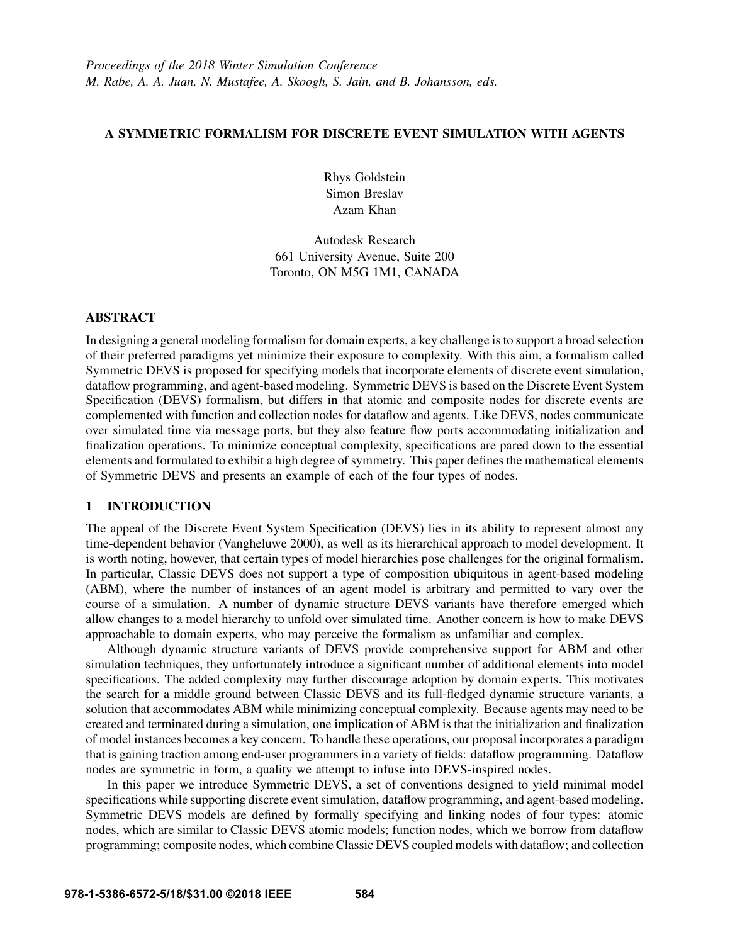# A SYMMETRIC FORMALISM FOR DISCRETE EVENT SIMULATION WITH AGENTS

Rhys Goldstein Simon Breslav Azam Khan

Autodesk Research 661 University Avenue, Suite 200 Toronto, ON M5G 1M1, CANADA

## **ABSTRACT**

In designing a general modeling formalism for domain experts, a key challenge is to support a broad selection of their preferred paradigms yet minimize their exposure to complexity. With this aim, a formalism called Symmetric DEVS is proposed for specifying models that incorporate elements of discrete event simulation, dataflow programming, and agent-based modeling. Symmetric DEVS is based on the Discrete Event System Specification (DEVS) formalism, but differs in that atomic and composite nodes for discrete events are complemented with function and collection nodes for dataflow and agents. Like DEVS, nodes communicate over simulated time via message ports, but they also feature flow ports accommodating initialization and finalization operations. To minimize conceptual complexity, specifications are pared down to the essential elements and formulated to exhibit a high degree of symmetry. This paper defines the mathematical elements of Symmetric DEVS and presents an example of each of the four types of nodes.

## 1 INTRODUCTION

The appeal of the Discrete Event System Specification (DEVS) lies in its ability to represent almost any time-dependent behavior (Vangheluwe 2000), as well as its hierarchical approach to model development. It is worth noting, however, that certain types of model hierarchies pose challenges for the original formalism. In particular, Classic DEVS does not support a type of composition ubiquitous in agent-based modeling (ABM), where the number of instances of an agent model is arbitrary and permitted to vary over the course of a simulation. A number of dynamic structure DEVS variants have therefore emerged which allow changes to a model hierarchy to unfold over simulated time. Another concern is how to make DEVS approachable to domain experts, who may perceive the formalism as unfamiliar and complex.

Although dynamic structure variants of DEVS provide comprehensive support for ABM and other simulation techniques, they unfortunately introduce a significant number of additional elements into model specifications. The added complexity may further discourage adoption by domain experts. This motivates the search for a middle ground between Classic DEVS and its full-fledged dynamic structure variants, a solution that accommodates ABM while minimizing conceptual complexity. Because agents may need to be created and terminated during a simulation, one implication of ABM is that the initialization and finalization of model instances becomes a key concern. To handle these operations, our proposal incorporates a paradigm that is gaining traction among end-user programmers in a variety of fields: dataflow programming. Dataflow nodes are symmetric in form, a quality we attempt to infuse into DEVS-inspired nodes.

In this paper we introduce Symmetric DEVS, a set of conventions designed to yield minimal model specifications while supporting discrete event simulation, dataflow programming, and agent-based modeling. Symmetric DEVS models are defined by formally specifying and linking nodes of four types: atomic nodes, which are similar to Classic DEVS atomic models; function nodes, which we borrow from dataflow programming; composite nodes, which combine Classic DEVS coupled models with dataflow; and collection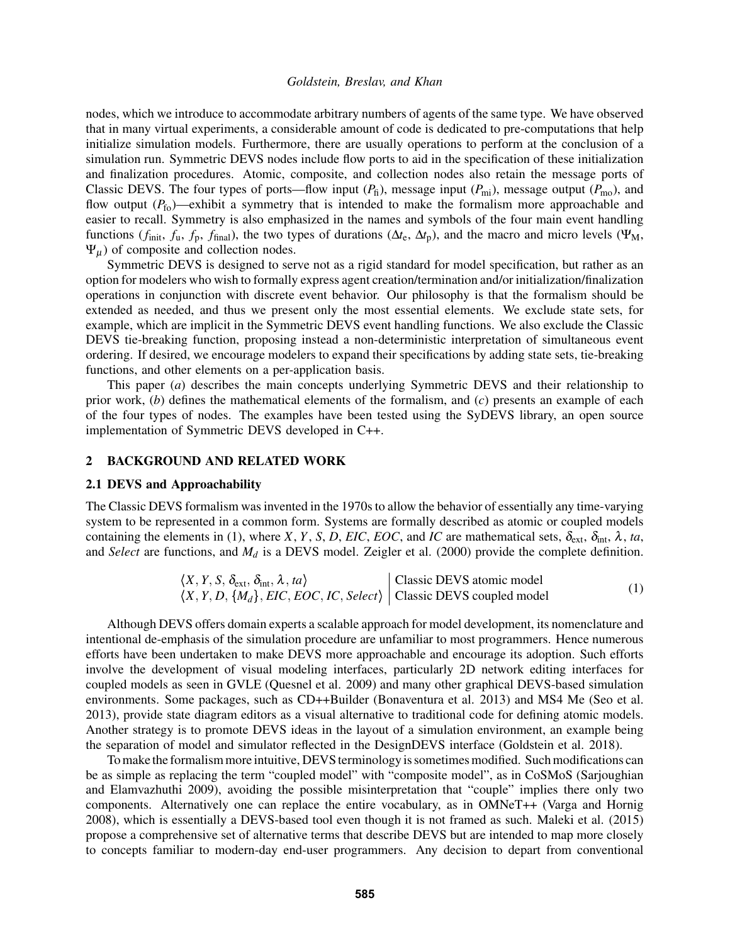nodes, which we introduce to accommodate arbitrary numbers of agents of the same type. We have observed that in many virtual experiments, a considerable amount of code is dedicated to pre-computations that help initialize simulation models. Furthermore, there are usually operations to perform at the conclusion of a simulation run. Symmetric DEVS nodes include flow ports to aid in the specification of these initialization and finalization procedures. Atomic, composite, and collection nodes also retain the message ports of Classic DEVS. The four types of ports—flow input  $(P_f)$ , message input  $(P_{mi})$ , message output  $(P_{mo})$ , and flow output  $(P_{f_0})$ —exhibit a symmetry that is intended to make the formalism more approachable and easier to recall. Symmetry is also emphasized in the names and symbols of the four main event handling functions ( $f_{\text{init}}$ ,  $f_{\text{u}}$ ,  $f_{\text{p}}$ ,  $f_{\text{final}}$ ), the two types of durations ( $\Delta t_{\text{e}}$ ,  $\Delta t_{\text{p}}$ ), and the macro and micro levels ( $\Psi_{\text{M}}$ ,  $\Psi_{\mu}$ ) of composite and collection nodes.

Symmetric DEVS is designed to serve not as a rigid standard for model specification, but rather as an option for modelers who wish to formally express agent creation/termination and/or initialization/finalization operations in conjunction with discrete event behavior. Our philosophy is that the formalism should be extended as needed, and thus we present only the most essential elements. We exclude state sets, for example, which are implicit in the Symmetric DEVS event handling functions. We also exclude the Classic DEVS tie-breaking function, proposing instead a non-deterministic interpretation of simultaneous event ordering. If desired, we encourage modelers to expand their specifications by adding state sets, tie-breaking functions, and other elements on a per-application basis.

This paper (*a*) describes the main concepts underlying Symmetric DEVS and their relationship to prior work, (*b*) defines the mathematical elements of the formalism, and (*c*) presents an example of each of the four types of nodes. The examples have been tested using the SyDEVS library, an open source implementation of Symmetric DEVS developed in C++.

## 2 BACKGROUND AND RELATED WORK

#### 2.1 DEVS and Approachability

The Classic DEVS formalism was invented in the 1970s to allow the behavior of essentially any time-varying system to be represented in a common form. Systems are formally described as atomic or coupled models containing the elements in (1), where *X*, *Y*, *S*, *D*, *EIC*, *EOC*, and *IC* are mathematical sets,  $\delta_{ext}$ ,  $\delta_{int}$ ,  $\lambda$ , *ta*, and *Select* are functions, and *M<sup>d</sup>* is a DEVS model. Zeigler et al. (2000) provide the complete definition.

$$
\langle X, Y, S, \delta_{ext}, \delta_{int}, \lambda, ta \rangle
$$
 [Classic DEVS atomic model  

$$
\langle X, Y, D, \{M_d\}, EIC, EOC, IC, Select \rangle
$$
 [Classic DEVS coupled model] (1)

Although DEVS offers domain experts a scalable approach for model development, its nomenclature and intentional de-emphasis of the simulation procedure are unfamiliar to most programmers. Hence numerous efforts have been undertaken to make DEVS more approachable and encourage its adoption. Such efforts involve the development of visual modeling interfaces, particularly 2D network editing interfaces for coupled models as seen in GVLE (Quesnel et al. 2009) and many other graphical DEVS-based simulation environments. Some packages, such as CD++Builder (Bonaventura et al. 2013) and MS4 Me (Seo et al. 2013), provide state diagram editors as a visual alternative to traditional code for defining atomic models. Another strategy is to promote DEVS ideas in the layout of a simulation environment, an example being the separation of model and simulator reflected in the DesignDEVS interface (Goldstein et al. 2018).

To make the formalism more intuitive, DEVS terminology is sometimes modified. Such modifications can be as simple as replacing the term "coupled model" with "composite model", as in CoSMoS (Sarjoughian and Elamvazhuthi 2009), avoiding the possible misinterpretation that "couple" implies there only two components. Alternatively one can replace the entire vocabulary, as in OMNeT++ (Varga and Hornig 2008), which is essentially a DEVS-based tool even though it is not framed as such. Maleki et al. (2015) propose a comprehensive set of alternative terms that describe DEVS but are intended to map more closely to concepts familiar to modern-day end-user programmers. Any decision to depart from conventional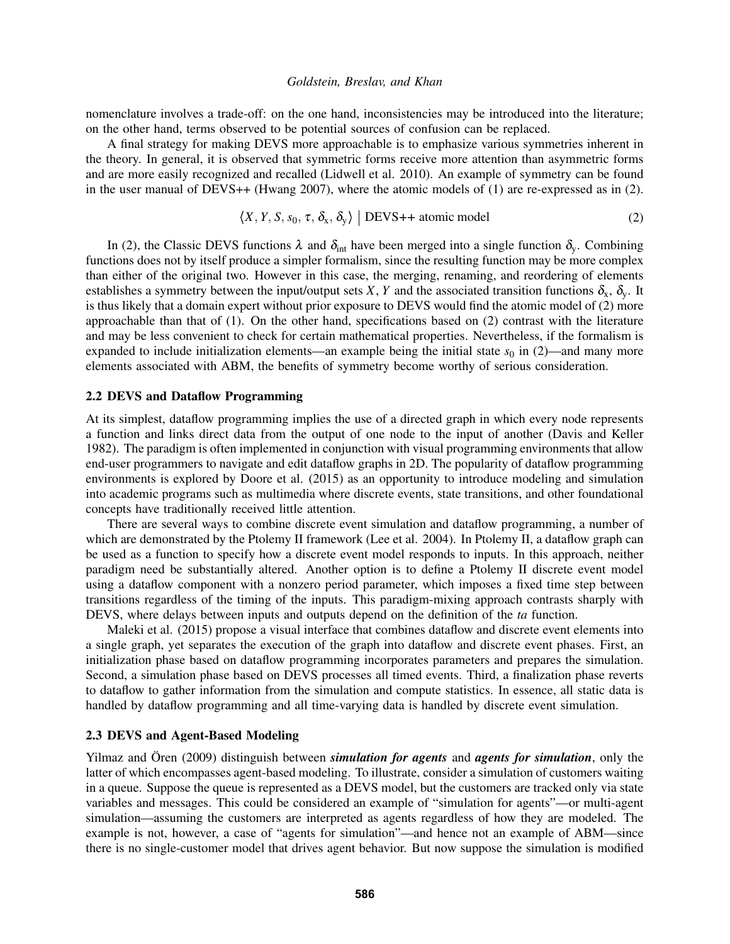nomenclature involves a trade-off: on the one hand, inconsistencies may be introduced into the literature; on the other hand, terms observed to be potential sources of confusion can be replaced.

A final strategy for making DEVS more approachable is to emphasize various symmetries inherent in the theory. In general, it is observed that symmetric forms receive more attention than asymmetric forms and are more easily recognized and recalled (Lidwell et al. 2010). An example of symmetry can be found in the user manual of DEVS++ (Hwang 2007), where the atomic models of (1) are re-expressed as in (2).

$$
\langle X, Y, S, s_0, \tau, \delta_x, \delta_y \rangle \mid \text{DEVS++ atomic model}
$$
 (2)

In (2), the Classic DEVS functions  $\lambda$  and  $\delta_{int}$  have been merged into a single function  $\delta_{v}$ . Combining functions does not by itself produce a simpler formalism, since the resulting function may be more complex than either of the original two. However in this case, the merging, renaming, and reordering of elements establishes a symmetry between the input/output sets *X*, *Y* and the associated transition functions  $\delta_x$ ,  $\delta_y$ . It is thus likely that a domain expert without prior exposure to DEVS would find the atomic model of (2) more approachable than that of (1). On the other hand, specifications based on (2) contrast with the literature and may be less convenient to check for certain mathematical properties. Nevertheless, if the formalism is expanded to include initialization elements—an example being the initial state  $s_0$  in (2)—and many more elements associated with ABM, the benefits of symmetry become worthy of serious consideration.

### 2.2 DEVS and Dataflow Programming

At its simplest, dataflow programming implies the use of a directed graph in which every node represents a function and links direct data from the output of one node to the input of another (Davis and Keller 1982). The paradigm is often implemented in conjunction with visual programming environments that allow end-user programmers to navigate and edit dataflow graphs in 2D. The popularity of dataflow programming environments is explored by Doore et al. (2015) as an opportunity to introduce modeling and simulation into academic programs such as multimedia where discrete events, state transitions, and other foundational concepts have traditionally received little attention.

There are several ways to combine discrete event simulation and dataflow programming, a number of which are demonstrated by the Ptolemy II framework (Lee et al. 2004). In Ptolemy II, a dataflow graph can be used as a function to specify how a discrete event model responds to inputs. In this approach, neither paradigm need be substantially altered. Another option is to define a Ptolemy II discrete event model using a dataflow component with a nonzero period parameter, which imposes a fixed time step between transitions regardless of the timing of the inputs. This paradigm-mixing approach contrasts sharply with DEVS, where delays between inputs and outputs depend on the definition of the *ta* function.

Maleki et al. (2015) propose a visual interface that combines dataflow and discrete event elements into a single graph, yet separates the execution of the graph into dataflow and discrete event phases. First, an initialization phase based on dataflow programming incorporates parameters and prepares the simulation. Second, a simulation phase based on DEVS processes all timed events. Third, a finalization phase reverts to dataflow to gather information from the simulation and compute statistics. In essence, all static data is handled by dataflow programming and all time-varying data is handled by discrete event simulation.

### 2.3 DEVS and Agent-Based Modeling

Yilmaz and Oren (2009) distinguish between *simulation for agents* and *agents for simulation*, only the latter of which encompasses agent-based modeling. To illustrate, consider a simulation of customers waiting in a queue. Suppose the queue is represented as a DEVS model, but the customers are tracked only via state variables and messages. This could be considered an example of "simulation for agents"—or multi-agent simulation—assuming the customers are interpreted as agents regardless of how they are modeled. The example is not, however, a case of "agents for simulation"—and hence not an example of ABM—since there is no single-customer model that drives agent behavior. But now suppose the simulation is modified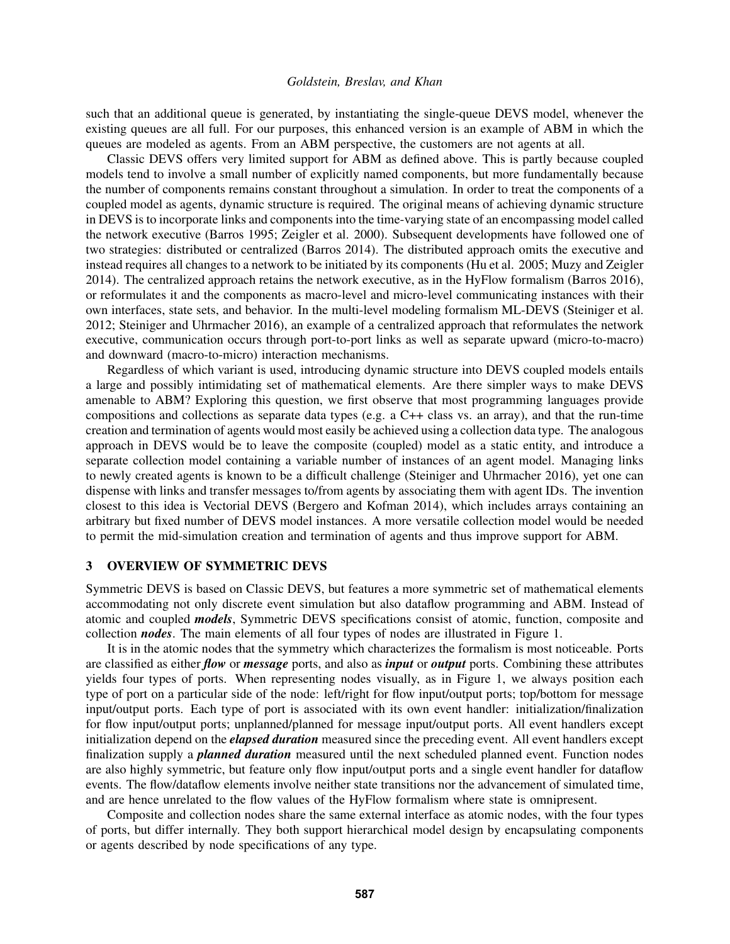such that an additional queue is generated, by instantiating the single-queue DEVS model, whenever the existing queues are all full. For our purposes, this enhanced version is an example of ABM in which the queues are modeled as agents. From an ABM perspective, the customers are not agents at all.

Classic DEVS offers very limited support for ABM as defined above. This is partly because coupled models tend to involve a small number of explicitly named components, but more fundamentally because the number of components remains constant throughout a simulation. In order to treat the components of a coupled model as agents, dynamic structure is required. The original means of achieving dynamic structure in DEVS is to incorporate links and components into the time-varying state of an encompassing model called the network executive (Barros 1995; Zeigler et al. 2000). Subsequent developments have followed one of two strategies: distributed or centralized (Barros 2014). The distributed approach omits the executive and instead requires all changes to a network to be initiated by its components (Hu et al. 2005; Muzy and Zeigler 2014). The centralized approach retains the network executive, as in the HyFlow formalism (Barros 2016), or reformulates it and the components as macro-level and micro-level communicating instances with their own interfaces, state sets, and behavior. In the multi-level modeling formalism ML-DEVS (Steiniger et al. 2012; Steiniger and Uhrmacher 2016), an example of a centralized approach that reformulates the network executive, communication occurs through port-to-port links as well as separate upward (micro-to-macro) and downward (macro-to-micro) interaction mechanisms.

Regardless of which variant is used, introducing dynamic structure into DEVS coupled models entails a large and possibly intimidating set of mathematical elements. Are there simpler ways to make DEVS amenable to ABM? Exploring this question, we first observe that most programming languages provide compositions and collections as separate data types (e.g. a C++ class vs. an array), and that the run-time creation and termination of agents would most easily be achieved using a collection data type. The analogous approach in DEVS would be to leave the composite (coupled) model as a static entity, and introduce a separate collection model containing a variable number of instances of an agent model. Managing links to newly created agents is known to be a difficult challenge (Steiniger and Uhrmacher 2016), yet one can dispense with links and transfer messages to/from agents by associating them with agent IDs. The invention closest to this idea is Vectorial DEVS (Bergero and Kofman 2014), which includes arrays containing an arbitrary but fixed number of DEVS model instances. A more versatile collection model would be needed to permit the mid-simulation creation and termination of agents and thus improve support for ABM.

# 3 OVERVIEW OF SYMMETRIC DEVS

Symmetric DEVS is based on Classic DEVS, but features a more symmetric set of mathematical elements accommodating not only discrete event simulation but also dataflow programming and ABM. Instead of atomic and coupled *models*, Symmetric DEVS specifications consist of atomic, function, composite and collection *nodes*. The main elements of all four types of nodes are illustrated in Figure 1.

It is in the atomic nodes that the symmetry which characterizes the formalism is most noticeable. Ports are classified as either *flow* or *message* ports, and also as *input* or *output* ports. Combining these attributes yields four types of ports. When representing nodes visually, as in Figure 1, we always position each type of port on a particular side of the node: left/right for flow input/output ports; top/bottom for message input/output ports. Each type of port is associated with its own event handler: initialization/finalization for flow input/output ports; unplanned/planned for message input/output ports. All event handlers except initialization depend on the *elapsed duration* measured since the preceding event. All event handlers except finalization supply a *planned duration* measured until the next scheduled planned event. Function nodes are also highly symmetric, but feature only flow input/output ports and a single event handler for dataflow events. The flow/dataflow elements involve neither state transitions nor the advancement of simulated time, and are hence unrelated to the flow values of the HyFlow formalism where state is omnipresent.

Composite and collection nodes share the same external interface as atomic nodes, with the four types of ports, but differ internally. They both support hierarchical model design by encapsulating components or agents described by node specifications of any type.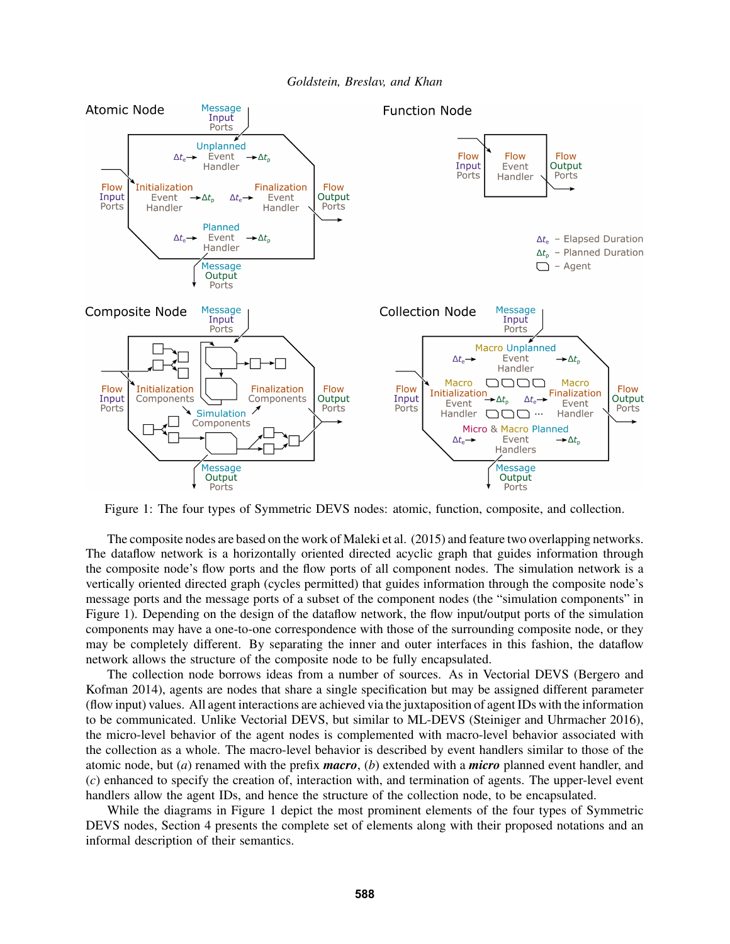

Figure 1: The four types of Symmetric DEVS nodes: atomic, function, composite, and collection.

The composite nodes are based on the work of Maleki et al. (2015) and feature two overlapping networks. The dataflow network is a horizontally oriented directed acyclic graph that guides information through the composite node's flow ports and the flow ports of all component nodes. The simulation network is a vertically oriented directed graph (cycles permitted) that guides information through the composite node's message ports and the message ports of a subset of the component nodes (the "simulation components" in Figure 1). Depending on the design of the dataflow network, the flow input/output ports of the simulation components may have a one-to-one correspondence with those of the surrounding composite node, or they may be completely different. By separating the inner and outer interfaces in this fashion, the dataflow network allows the structure of the composite node to be fully encapsulated.

The collection node borrows ideas from a number of sources. As in Vectorial DEVS (Bergero and Kofman 2014), agents are nodes that share a single specification but may be assigned different parameter (flow input) values. All agent interactions are achieved via the juxtaposition of agent IDs with the information to be communicated. Unlike Vectorial DEVS, but similar to ML-DEVS (Steiniger and Uhrmacher 2016), the micro-level behavior of the agent nodes is complemented with macro-level behavior associated with the collection as a whole. The macro-level behavior is described by event handlers similar to those of the atomic node, but (*a*) renamed with the prefix *macro*, (*b*) extended with a *micro* planned event handler, and (*c*) enhanced to specify the creation of, interaction with, and termination of agents. The upper-level event handlers allow the agent IDs, and hence the structure of the collection node, to be encapsulated.

While the diagrams in Figure 1 depict the most prominent elements of the four types of Symmetric DEVS nodes, Section 4 presents the complete set of elements along with their proposed notations and an informal description of their semantics.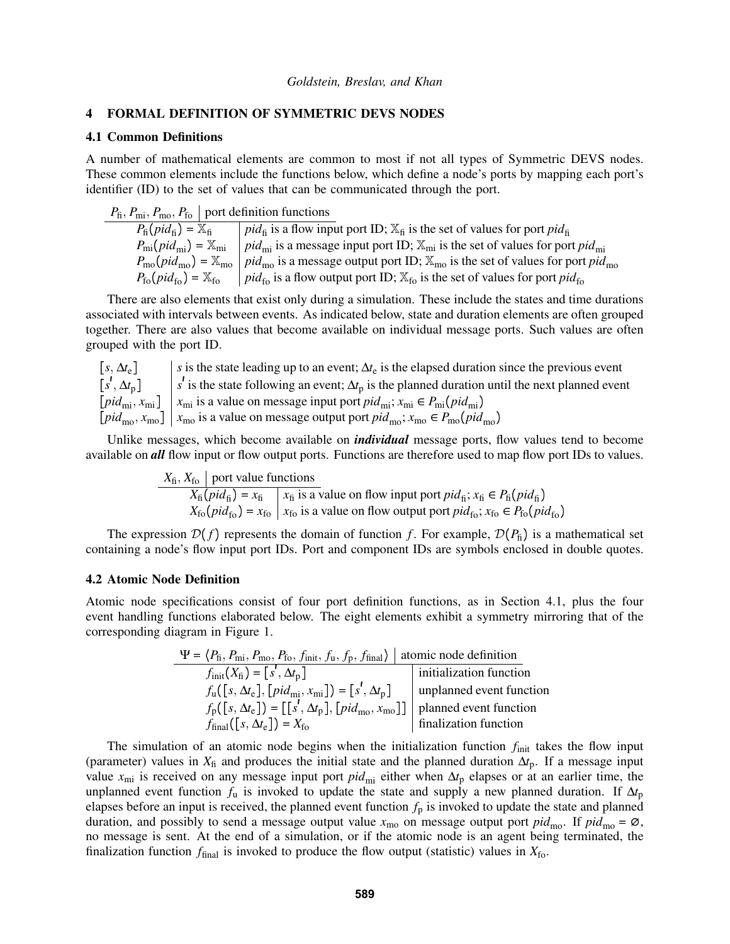### 4 FORMAL DEFINITION OF SYMMETRIC DEVS NODES

### 4.1 Common Definitions

A number of mathematical elements are common to most if not all types of Symmetric DEVS nodes. These common elements include the functions below, which define a node's ports by mapping each port's identifier (ID) to the set of values that can be communicated through the port.

 $P_{\text{fi}}, P_{\text{mi}}, P_{\text{mo}}, P_{\text{fo}} \mid \text{port definition functions}$ 

 $P_{\text{fi}}(pid_{\text{fi}}) = \overline{\mathbb{X}_{\text{fi}}}$  *pid*<sub>fi</sub> is a flow input port ID;  $\mathbb{X}_{\text{fi}}$  is the set of values for port *pid*<sub>fi</sub>  $P_{mi}(pid_{mi}) = \mathbb{X}_{mi}$  *pid*<sub>mi</sub> is a message input port ID;  $\mathbb{X}_{mi}$  is the set of values for port *pid*<sub>mi</sub>  $P_{\text{mo}}(pid_{\text{mo}}) = \mathbb{X}_{\text{mo}}$  *pid*<sub>mo</sub> is a message output port ID;  $\mathbb{X}_{\text{mo}}$  is the set of values for port *pid*<sub>mo</sub>  $P_{\text{fo}}(pid_{\text{fo}}) = \mathbb{X}_{\text{fo}}$  *pid*<sub>fo</sub> is a flow output port ID;  $\mathbb{X}_{\text{fo}}$  is the set of values for port *pid*<sub>fo</sub>

There are also elements that exist only during a simulation. These include the states and time durations associated with intervals between events. As indicated below, state and duration elements are often grouped together. There are also values that become available on individual message ports. Such values are often grouped with the port ID.

 $[s, \Delta t_e]$  *s* is the state leading up to an event;  $\Delta t_e$  is the elapsed duration since the previous event  $[s^j, \Delta t_p]$  s' is the state following an event;  $\Delta t_p$  is the planned duration until the next planned event  $[pid_{mi}, x_{mi}]$   $x_{mi}$  is a value on message input port  $pid_{mi}$ ;  $x_{mi} \in P_{mi}(pid_{mi})$  $[pid_{\text{mo}}, x_{\text{mo}}]$   $x_{\text{mo}}$  is a value on message output port  $pid_{\text{mo}}$ ;  $x_{\text{mo}} \in P_{\text{mo}}(pid_{\text{mo}})$ 

Unlike messages, which become available on *individual* message ports, flow values tend to become available on *all* flow input or flow output ports. Functions are therefore used to map flow port IDs to values.

> $X_{\text{fi}}, X_{\text{fo}}$  port value functions  $\overline{X_{\text{fi}}(pid_{\text{fi}})} = x_{\text{fi}}$   $\overline{X_{\text{fi}}}$  is a value on flow input port  $pid_{\text{fi}}$ ;  $x_{\text{fi}} \in P_{\text{fi}}(pid_{\text{fi}})$  $X_{\text{fo}}(pid_{\text{fo}}) = x_{\text{fo}} \mid x_{\text{fo}}$  is a value on flow output port  $pid_{\text{fo}}$ ;  $x_{\text{fo}} \in P_{\text{fo}}(pid_{\text{fo}})$

The expression  $\mathcal{D}(f)$  represents the domain of function f. For example,  $\mathcal{D}(P_{\rm fi})$  is a mathematical set containing a node's flow input port IDs. Port and component IDs are symbols enclosed in double quotes.

### 4.2 Atomic Node Definition

Atomic node specifications consist of four port definition functions, as in Section 4.1, plus the four event handling functions elaborated below. The eight elements exhibit a symmetry mirroring that of the corresponding diagram in Figure 1.

| $\Psi = \langle P_{\text{fi}}, P_{\text{mi}}, P_{\text{mo}}, P_{\text{fo}}, f_{\text{init}}, f_{\text{u}}, f_{\text{p}}, f_{\text{final}} \rangle$ | atomic node definition   |
|----------------------------------------------------------------------------------------------------------------------------------------------------|--------------------------|
| $f_{\text{init}}(X_{\text{fi}}) = [s', \Delta t_{\text{p}}]$                                                                                       | initialization function  |
| $f_{\rm u}([s, \Delta t_{\rm e}], [pid_{\rm mi}, x_{\rm mi}]) = [s', \Delta t_{\rm p}]$                                                            | unplanned event function |
| $f_{\rm p}([s, \Delta t_{\rm e}]) = [[s', \Delta t_{\rm p}], [pid_{\rm mo}, x_{\rm mo}]]$                                                          | planned event function   |
| $f_{\text{final}}([s, \Delta t_{\text{e}}]) = X_{\text{fo}}$                                                                                       | finalization function    |

The simulation of an atomic node begins when the initialization function  $f_{init}$  takes the flow input (parameter) values in  $X_f$  and produces the initial state and the planned duration  $\Delta t_p$ . If a message input value *x*mi is received on any message input port *pid*mi either when ∆*t*<sup>p</sup> elapses or at an earlier time, the unplanned event function  $f_u$  is invoked to update the state and supply a new planned duration. If  $\Delta t_p$ elapses before an input is received, the planned event function  $f<sub>p</sub>$  is invoked to update the state and planned duration, and possibly to send a message output value  $x_{\text{mo}}$  on message output port  $pid_{\text{mo}}$ . If  $pid_{\text{mo}} = \emptyset$ , no message is sent. At the end of a simulation, or if the atomic node is an agent being terminated, the finalization function  $f_{\text{final}}$  is invoked to produce the flow output (statistic) values in  $X_{\text{fo}}$ .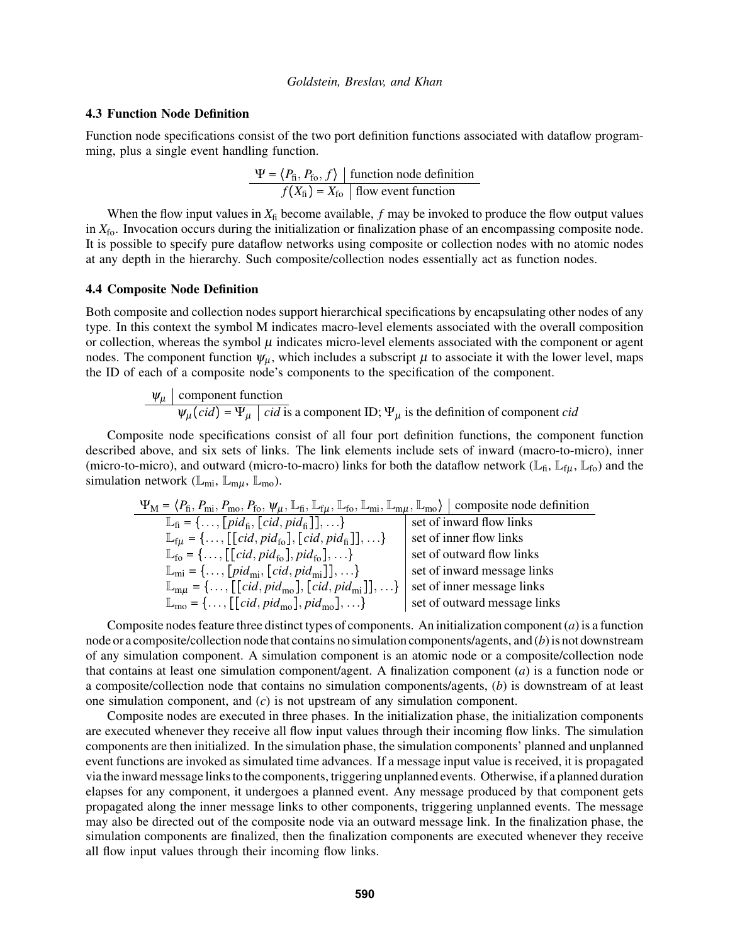### 4.3 Function Node Definition

Function node specifications consist of the two port definition functions associated with dataflow programming, plus a single event handling function.

$$
\frac{\Psi = \langle P_{\text{fi}}, P_{\text{fo}}, f \rangle \mid \text{function node definition}}{f(X_{\text{fi}}) = X_{\text{fo}} \mid \text{flow event function}}
$$

When the flow input values in  $X_{\text{fi}}$  become available,  $f$  may be invoked to produce the flow output values in *X*fo. Invocation occurs during the initialization or finalization phase of an encompassing composite node. It is possible to specify pure dataflow networks using composite or collection nodes with no atomic nodes at any depth in the hierarchy. Such composite/collection nodes essentially act as function nodes.

#### 4.4 Composite Node Definition

Both composite and collection nodes support hierarchical specifications by encapsulating other nodes of any type. In this context the symbol M indicates macro-level elements associated with the overall composition or collection, whereas the symbol  $\mu$  indicates micro-level elements associated with the component or agent nodes. The component function  $\psi_{\mu}$ , which includes a subscript  $\mu$  to associate it with the lower level, maps the ID of each of a composite node's components to the specification of the component.

$$
\Psi_{\mu}
$$
 | component function  
\n $\Psi_{\mu}$  (*cid*) =  $\Psi_{\mu}$  | *cid* is a component ID;  $\Psi_{\mu}$  is the definition of component *cid*

Composite node specifications consist of all four port definition functions, the component function described above, and six sets of links. The link elements include sets of inward (macro-to-micro), inner (micro-to-micro), and outward (micro-to-macro) links for both the dataflow network ( $\mathbb{L}_{fi}$ ,  $\mathbb{L}_{f\mu}$ ,  $\mathbb{L}_{f_0}$ ) and the simulation network ( $\mathbb{L}_{mi}$ ,  $\mathbb{L}_{m\mu}$ ,  $\mathbb{L}_{mo}$ ).

$$
\Psi_{\mathbf{M}} = \langle P_{\hat{\mathbf{n}}}, P_{\text{mi}}, P_{\text{mo}}, P_{\hat{\mathbf{t}}}, \Psi_{\mu}, \mathbb{L}_{\hat{\mathbf{t}}}, \mathbb{L}_{\hat{\mathbf{f}}\mu}, \mathbb{L}_{\hat{\mathbf{f}}\text{oo}}, \mathbb{L}_{\text{mi}}, \mathbb{L}_{\text{m}\mu}, \mathbb{L}_{\text{mo}} \rangle
$$
 composite node definition  
\n
$$
\mathbb{L}_{\hat{\mathbf{f}}\mu} = \{ \dots, [\left[ \text{cid}, \text{pid}_{\hat{\mathbf{f}}\mathbf{0}} \right], \left[ \text{cid}, \text{pid}_{\hat{\mathbf{f}}\mathbf{0}} \right], \dots \}
$$
\n
$$
\mathbb{L}_{\hat{\mathbf{f}}\mu} = \{ \dots, [\left[ \text{cid}, \text{pid}_{\hat{\mathbf{f}}\mathbf{0}} \right], \text{pid}_{\hat{\mathbf{f}}\mathbf{0}} \} \dots \}
$$
\n
$$
\mathbb{L}_{\hat{\mathbf{f}}\mu} = \{ \dots, [\left[ \text{cid}, \text{pid}_{\hat{\mathbf{f}}\mathbf{0}} \right], \text{pid}_{\hat{\mathbf{f}}\mathbf{0}} \} \dots \}
$$
\n
$$
\mathbb{L}_{\text{mi}} = \{ \dots, [\left[ \text{cid}, \text{pid}_{\text{mi}} \right], \left[ \text{cid}, \text{pid}_{\text{mi}} \right] \} \} \dots \}
$$
\n
$$
\mathbb{L}_{\text{m}\mu} = \{ \dots, [\left[ \text{cid}, \text{pid}_{\text{mo}} \right], \left[ \text{cid}, \text{pid}_{\text{mi}} \right] \} \dots \}
$$
\n
$$
\mathbb{L}_{\text{m}\phi} = \{ \dots, [\left[ \text{cid}, \text{pid}_{\text{mo}} \right], \text{pid}_{\text{mo}} \} \dots \}
$$
\n
$$
\text{set of inner message links}
$$
\n
$$
\mathbb{L}_{\text{m}\phi} = \{ \dots, [\left[ \text{cid}, \text{pid}_{\text{mo}} \right], \text{pid}_{\text{mo}} \} \dots \}
$$

Composite nodes feature three distinct types of components. An initialization component (*a*) is a function node or a composite/collection node that contains no simulation components/agents, and (*b*) is not downstream of any simulation component. A simulation component is an atomic node or a composite/collection node that contains at least one simulation component/agent. A finalization component (*a*) is a function node or a composite/collection node that contains no simulation components/agents, (*b*) is downstream of at least one simulation component, and (*c*) is not upstream of any simulation component.

Composite nodes are executed in three phases. In the initialization phase, the initialization components are executed whenever they receive all flow input values through their incoming flow links. The simulation components are then initialized. In the simulation phase, the simulation components' planned and unplanned event functions are invoked as simulated time advances. If a message input value is received, it is propagated via the inward message links to the components, triggering unplanned events. Otherwise, if a planned duration elapses for any component, it undergoes a planned event. Any message produced by that component gets propagated along the inner message links to other components, triggering unplanned events. The message may also be directed out of the composite node via an outward message link. In the finalization phase, the simulation components are finalized, then the finalization components are executed whenever they receive all flow input values through their incoming flow links.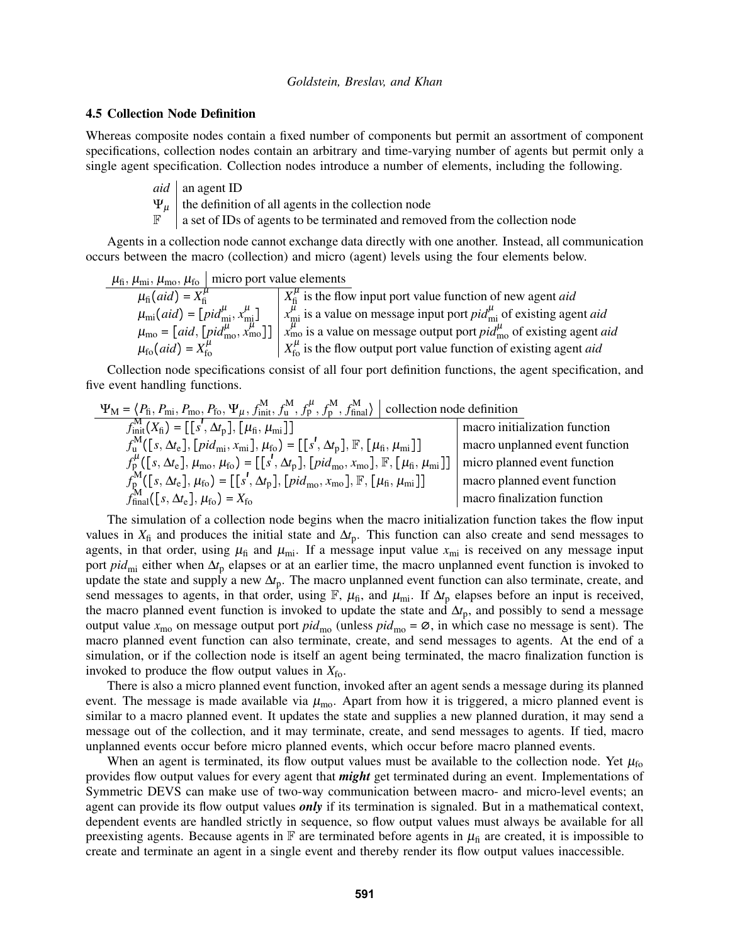### 4.5 Collection Node Definition

Whereas composite nodes contain a fixed number of components but permit an assortment of component specifications, collection nodes contain an arbitrary and time-varying number of agents but permit only a single agent specification. Collection nodes introduce a number of elements, including the following.

- $aid \mid$  an agent ID
- $\Psi_{\mu}$  the definition of all agents in the collection node
- $\mathbb{F}$  a set of IDs of agents to be terminated and removed from the collection node

Agents in a collection node cannot exchange data directly with one another. Instead, all communication occurs between the macro (collection) and micro (agent) levels using the four elements below.

$$
\mu_{\text{fi}}, \mu_{\text{mi}}, \mu_{\text{mo}}, \mu_{\text{fo}}
$$
 micro port value elements

 $\mu_{\text{fi}}(aid) = X_{\text{fi}}^{\mu}$   $X_{\text{fi}}^{\mu}$  $\frac{h}{\hbar}$  is the flow input port value function of new agent *aid*  $\mu_{mi}(aid) = \left[ pid_{mi}^{\mu}, x_{mi}^{\mu}\right] \quad \left| x_{mi}^{\mu}$  is a value on message input port *pid*<sup> $\mu$ </sup><sub>mi</sub> of existing agent *aid*  $\mu_{\rm{mo}} = [\text{aid}, [\text{pid}_{\rm{mo}}^{\mu}, \vec{x}_{\rm{mo}}^{\mu}]] \mid \vec{x}_{\rm{mo}}^{\mu}$  is a value on message output port  $\text{pid}_{\rm{mo}}^{\mu}$  of existing agent *aid*  $\mu_{\text{fo}}(aid) = X_{\text{fo}}^{\mu}$   $X_{\text{fo}}^{\mu}$  is the flow output port value function of existing agent *aid* 

Collection node specifications consist of all four port definition functions, the agent specification, and five event handling functions.

$$
\Psi_{\mathbf{M}} = \langle P_{\hat{\mathbf{h}}}, P_{\text{mi}}, P_{\text{mo}}, P_{\text{fo}}, \Psi_{\mu}, f_{\text{init}}^{\mathbf{M}}, f_{\mathbf{u}}^{\mathbf{M}}, f_{\mathbf{p}}^{\mathbf{M}}, f_{\text{final}}^{\mathbf{M}} \rangle
$$
 collection node definition  
\n
$$
f_{\text{init}}^{\mathbf{M}}(\mathbf{X}_{\hat{\mathbf{h}}}) = [[s', \Delta t_{\mathbf{p}}], [\mu_{\hat{\mathbf{h}}}, \mu_{\text{mi}}]]
$$
\n
$$
f_{\mathbf{u}}^{\mathbf{M}}([s, \Delta t_{\mathbf{e}}], [pid_{\text{mi}}, x_{\text{mi}}], \mu_{\hat{\mathbf{f}}^{\mathbf{G}}}] = [[s', \Delta t_{\mathbf{p}}], [\mu_{\hat{\mathbf{h}}}, \mu_{\text{mi}}], \mu_{\hat{\mathbf{f}}^{\mathbf{G}}}] = [[s', \Delta t_{\mathbf{p}}], [\mu_{\hat{\mathbf{f}}}, \mu_{\text{mi}}], \mu_{\hat{\mathbf{f}}^{\mathbf{G}}}]
$$
\n
$$
f_{\mathbf{p}}^{\mathbf{M}}([s, \Delta t_{\mathbf{e}}], \mu_{\text{mo}}, \mu_{\hat{\mathbf{f}}^{\mathbf{G}}}] = [[s', \Delta t_{\mathbf{p}}], [\mu_{\hat{\mathbf{f}}^{\mathbf{M}}}, x_{\text{mo}}], \mathbb{F}, [\mu_{\hat{\mathbf{h}}}, \mu_{\text{mi}}]]
$$
\n
$$
f_{\text{final}}^{\mathbf{M}}([s, \Delta t_{\mathbf{e}}], \mu_{\hat{\mathbf{f}}^{\mathbf{G}}}) = [[s', \Delta t_{\mathbf{p}}], [\mu_{\hat{\mathbf{f}}^{\mathbf{M}}}, x_{\text{mo}}], \mathbb{F}, [\mu_{\hat{\mathbf{h}}}, \mu_{\text{mi}}]]
$$
\n
$$
f_{\text{final}}^{\mathbf{M}}([s, \Delta t_{\mathbf{e}}], \mu_{\hat{\mathbf{f}}^{\mathbf{G}}}) = X_{\text{fo}}
$$
\n
$$
f_{\text{final}}^{\mathbf{M}}([s, \Delta t_{\mathbf{e}}], \mu_{\hat{\mathbf{f}}^{\mathbf{G}}}) = X_{\
$$

The simulation of a collection node begins when the macro initialization function takes the flow input values in  $X_f$  and produces the initial state and  $\Delta t_p$ . This function can also create and send messages to agents, in that order, using  $\mu_{fi}$  and  $\mu_{mi}$ . If a message input value  $x_{mi}$  is received on any message input port *pid*<sub>mi</sub> either when Δ*t*<sub>p</sub> elapses or at an earlier time, the macro unplanned event function is invoked to update the state and supply a new  $\Delta t_p$ . The macro unplanned event function can also terminate, create, and send messages to agents, in that order, using  $\mathbb{F}$ ,  $\mu_{\text{fi}}$ , and  $\mu_{\text{mi}}$ . If  $\Delta t$ <sub>p</sub> elapses before an input is received, the macro planned event function is invoked to update the state and  $\Delta t_p$ , and possibly to send a message output value  $x_{\text{mo}}$  on message output port  $pid_{\text{mo}}$  (unless  $pid_{\text{mo}} = \emptyset$ , in which case no message is sent). The macro planned event function can also terminate, create, and send messages to agents. At the end of a simulation, or if the collection node is itself an agent being terminated, the macro finalization function is invoked to produce the flow output values in  $X_{\text{fo}}$ .

There is also a micro planned event function, invoked after an agent sends a message during its planned event. The message is made available via  $\mu_{\text{mo}}$ . Apart from how it is triggered, a micro planned event is similar to a macro planned event. It updates the state and supplies a new planned duration, it may send a message out of the collection, and it may terminate, create, and send messages to agents. If tied, macro unplanned events occur before micro planned events, which occur before macro planned events.

When an agent is terminated, its flow output values must be available to the collection node. Yet  $\mu_{fo}$ provides flow output values for every agent that *might* get terminated during an event. Implementations of Symmetric DEVS can make use of two-way communication between macro- and micro-level events; an agent can provide its flow output values *only* if its termination is signaled. But in a mathematical context, dependent events are handled strictly in sequence, so flow output values must always be available for all preexisting agents. Because agents in  $\mathbb F$  are terminated before agents in  $\mu_{\rm fi}$  are created, it is impossible to create and terminate an agent in a single event and thereby render its flow output values inaccessible.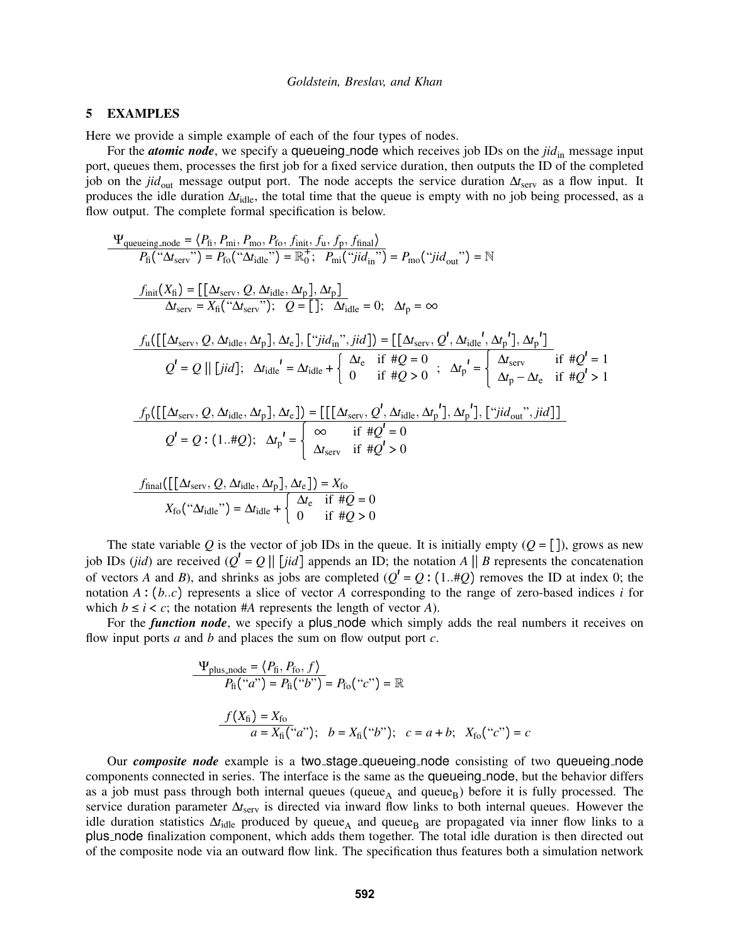### 5 EXAMPLES

Here we provide a simple example of each of the four types of nodes.

For the *atomic node*, we specify a queueing node which receives job IDs on the *jid*<sub>in</sub> message input port, queues them, processes the first job for a fixed service duration, then outputs the ID of the completed job on the *jid*out message output port. The node accepts the service duration ∆*t*serv as a flow input. It produces the idle duration ∆*t*<sub>idle</sub>, the total time that the queue is empty with no job being processed, as a flow output. The complete formal specification is below.

$$
\Psi_{\text{queuing\_node}} = \langle P_{\text{fi}}, P_{\text{mi}}, P_{\text{mo}}, P_{\text{fo}}, f_{\text{init}}, f_{\text{u}}, f_{\text{p}}, f_{\text{final}} \rangle
$$
\n
$$
P_{\text{fi}}(" \Delta t_{\text{serv}}") = P_{\text{fo}}(" \Delta t_{\text{idle}}") = \mathbb{R}_{0}^{+}; P_{\text{mi}}("jid_{\text{in}}") = P_{\text{mo}}("jid_{\text{out}}") = \mathbb{N}
$$
\n
$$
\frac{f_{\text{init}}(X_{\text{fi}}) = \left[ \left[ \Delta t_{\text{serv}}, Q, \Delta t_{\text{idle}}, \Delta t_{\text{p}} \right], \Delta t_{\text{p}} \right]}{\Delta t_{\text{serv}}} = X_{\text{fi}}(" \Delta t_{\text{serv}}"); Q = \left[ \left[ \left( \Delta t_{\text{serv}}, Q, \Delta t_{\text{idle}}, \Delta t_{\text{p}} \right), \Delta t_{\text{ell}} \right], \left[ \left( \left( \frac{\Delta t_{\text{serv}}, Q}{\Delta t_{\text{idle}}}, \Delta t_{\text{p}} \right), \Delta t_{\text{p}} \right) \right] = \left[ \left[ \Delta t_{\text{serv}}, Q, \Delta t_{\text{idle}}, \Delta t_{\text{p}} \right], \Delta t_{\text{p}} \right]
$$
\n
$$
Q' = Q \parallel [jid]; \Delta t_{\text{idle}}' = \Delta t_{\text{idle}} + \left\{ \Delta t_{\text{e}} \text{ if } \# Q = 0 \right\}; \Delta t_{\text{p}}' = \left\{ \Delta t_{\text{serv}} \text{ if } \# Q' = 1
$$
\n
$$
\frac{f_{\text{p}}(\left[ \left[ \Delta t_{\text{serv}}, Q, \Delta t_{\text{idle}}, \Delta t_{\text{p}} \right], \Delta t_{\text{e}} \right] ) = \left[ \left[ \left[ \Delta t_{\text{serv}}, Q, \Delta t_{\text{idle}}, \Delta t_{\text{p}} \right], \Delta t_{\text{p}} \right], \Delta t_{\text{p}} \right], \Delta t_{\text{p}} \right] - \left\{ \sum_{\text{if } \# Q' = 0} \text{ if } \# Q' = 0
$$
\n
$$
f_{\text{final}}(\left[ \left[ \Delta t_{\text{serv
$$

The state variable Q is the vector of job IDs in the queue. It is initially empty  $(Q = [1])$ , grows as new job IDs (*jid*) are received  $(Q^l = Q || [jid]$  appends an ID; the notation *A* || *B* represents the concatenation of vectors *A* and *B*), and shrinks as jobs are completed  $(Q^1 = Q : (1..#Q)$  removes the ID at index 0; the notation  $A : (b..c)$  represents a slice of vector  $\overline{A}$  corresponding to the range of zero-based indices *i* for which  $b \le i < c$ ; the notation #*A* represents the length of vector *A*).

For the *function node*, we specify a plus node which simply adds the real numbers it receives on flow input ports *a* and *b* and places the sum on flow output port *c*.

$$
\frac{\Psi_{\text{plus\_node}} = \langle P_{\text{fi}}, P_{\text{fo}}, f \rangle}{P_{\text{fi}}("a") = P_{\text{fi}}("b")} = P_{\text{fo}}("c") = \mathbb{R}
$$
\n
$$
\frac{f(X_{\text{fi}}) = X_{\text{fo}}}{a = X_{\text{fi}}("a"); \quad b = X_{\text{fi}}("b"); \quad c = a + b; \quad X_{\text{fo}}("c") = c}
$$

Our *composite node* example is a two stage queueing node consisting of two queueing node components connected in series. The interface is the same as the queueing node, but the behavior differs as a job must pass through both internal queues (queue<sub>A</sub> and queue<sub>B</sub>) before it is fully processed. The service duration parameter  $\Delta t_{\text{serv}}$  is directed via inward flow links to both internal queues. However the idle duration statistics  $\Delta t_{\text{idle}}$  produced by queue<sub>A</sub> and queue<sub>B</sub> are propagated via inner flow links to a plus node finalization component, which adds them together. The total idle duration is then directed out of the composite node via an outward flow link. The specification thus features both a simulation network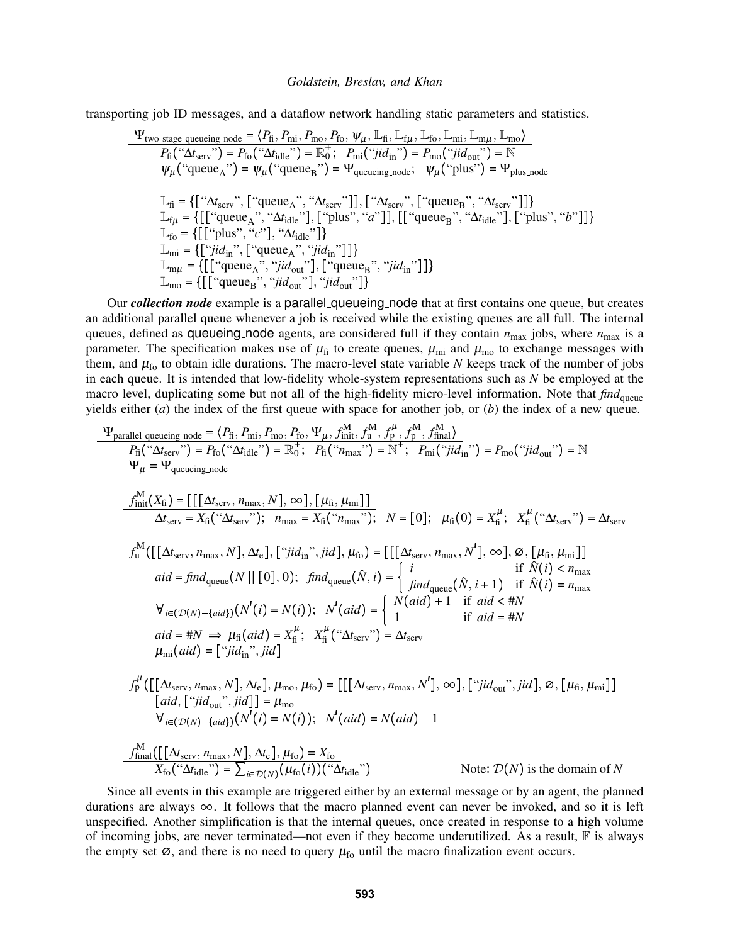transporting job ID messages, and a dataflow network handling static parameters and statistics.

$$
\Psi_{\text{two-stage-queuing\_node}} = \langle P_{\text{fi}}, P_{\text{mi}}, P_{\text{mo}}, P_{\text{fo}}, \psi_{\mu}, \mathbb{L}_{\text{fi}}, \mathbb{L}_{\text{f}\mu}, \mathbb{L}_{\text{fo}}, \mathbb{L}_{\text{mi}}, \mathbb{L}_{\text{mo}} \rangle
$$
\n
$$
P_{\text{fi}}(\text{``\Delta t}_{\text{serv}}") = P_{\text{fo}}(\text{``\Delta t}_{\text{idle}}") = \mathbb{R}_{0}^{+}; P_{\text{mi}}(\text{``\Delta t}_{\text{ial}}") = P_{\text{mo}}(\text{``\Delta t}_{\text{out}}") = \mathbb{N}
$$
\n
$$
\psi_{\mu}(\text{``queue}_{A})') = \psi_{\mu}(\text{``queue}_{B}) = \Psi_{\text{queueing\_node}}; \quad \psi_{\mu}(\text{``plus")} = \Psi_{\text{plus\_node}}
$$
\n
$$
\mathbb{L}_{\text{fi}} = \{ [\text{``\Delta t}_{\text{serv}}", [\text{``queue}_{A}], \text{``\Delta t}_{\text{serv}}"]], [\text{``\Delta t}_{\text{serv}}", [\text{``queue}_{B}], \text{``\Delta t}_{\text{serv}}"]] \}
$$
\n
$$
\mathbb{L}_{\text{f}\mu} = \{ [\text{``queue}_{A}, \text{``\Delta t}_{\text{idle}}"], [\text{``plus}, \text{``a''}]], [\text{``queue}_{B}, \text{``\Delta t}_{\text{idle}}"], [\text{``plus}', \text{``b''}]] \}
$$
\n
$$
\mathbb{L}_{\text{m}i} = \{ [\text{``jid}_{\text{in}}", [\text{``queue}_{A}], \text{``\Delta t}_{\text{idle}}"] \}
$$
\n
$$
\mathbb{L}_{\text{mm}\mu} = \{ [\text{``queue}_{A}, \text{``\Delta t}_{\text{id}}] \text{''}, [\text{``queue}_{B}, \text{``\Delta t}_{\text{in}}"]] \}
$$
\n
$$
\mathbb{L}_{\text{mo}} = \{ [\text{``queue}_{A}, \text{``\Delta t}_{\text{out}}"], [\text{``queue}_{B}, \text{``\Delta t}_{\text{in}}"]] \}
$$
\n
$$
\mathbb{L}_{\text{mo}} = \{ [\text{``queue}_{A}, \text{``\Delta t}_{\text{id}}] \text{''}, [\text
$$

Our *collection node* example is a parallel queueing node that at first contains one queue, but creates an additional parallel queue whenever a job is received while the existing queues are all full. The internal queues, defined as queueing node agents, are considered full if they contain  $n_{\text{max}}$  jobs, where  $n_{\text{max}}$  is a parameter. The specification makes use of  $\mu_{fi}$  to create queues,  $\mu_{mi}$  and  $\mu_{mo}$  to exchange messages with them, and  $\mu_{\text{fo}}$  to obtain idle durations. The macro-level state variable *N* keeps track of the number of jobs in each queue. It is intended that low-fidelity whole-system representations such as *N* be employed at the macro level, duplicating some but not all of the high-fidelity micro-level information. Note that *find*<sub>queue</sub> yields either (*a*) the index of the first queue with space for another job, or (*b*) the index of a new queue.

$$
\Psi_{\text{parallel\_queuing\_node}} = \langle P_{\text{fi}}, P_{\text{mi}}, P_{\text{no}}, P_{\text{fo}}, \Psi_{\mu}, f_{\text{mi}}^{\text{M}}; f_{\mu}^{\text{M}}, f_{\mu}^{\text{M}}, f_{\mu}^{\text{M}}, f_{\text{final}}^{\text{M}} \rangle
$$
\n
$$
P_{\text{fi}}("M_{\text{scr}}") = P_{\text{fo}}("M_{\text{idle}}") = \mathbb{R}_{0}^{+}; P_{\text{fi}}("M_{\text{max}}") = \mathbb{N}^{+}; P_{\text{mi}}("jid_{\text{in}}") = P_{\text{mo}}("jid_{\text{out}}") = \mathbb{N}
$$
\n
$$
\Psi_{\mu} = \Psi_{\text{queuing\_node}}
$$
\n
$$
\frac{f_{\text{init}}^{\text{M}}(X_{\text{fi}}) = [[[\Delta t_{\text{serv}}, n_{\text{max}}, N], \infty], [\mu_{\text{fi}}, \mu_{\text{mi}}]]}{\Delta t_{\text{serv}}} = X_{\text{fi}}("M_{\text{serv}}"); n_{\text{max}} = X_{\text{fi}}("n_{\text{max}}"); N = [0]; \mu_{\text{fi}}(0) = X_{\text{fi}}^{\mu}; X_{\text{fi}}^{\mu}("M_{\text{serv}}") = \Delta t_{\text{serv}}
$$
\n
$$
\frac{f_{\text{u}}^{\text{M}}([[[\Delta t_{\text{serv}}, n_{\text{max}}, N], \Delta t_{\text{e}}], [\text{"jid}_{\text{in}}", jid], \mu_{\text{fo}}) = [[[\Delta t_{\text{serv}}, n_{\text{max}}, N'], \infty], \emptyset, [\mu_{\text{fi}}, \mu_{\text{mi}}]]
$$
\n
$$
aid = find_{\text{queue}}(N || [0], 0); \quad \text{find}_{\text{queue}}(\hat{N}, i) = \begin{cases} i & \text{if } \hat{N}(i) < n_{\text{max}} \\ j & \text{if } \hat{N}(i) < n_{\text{max}} \\ j & \text{if } \hat{N}(i) < n_{\text{max}} \end{cases}
$$
\n
$$
\forall_{i \in (D(N) - \{aid\})}(N^{i}(i) = N(i)); N^{i}(aid) = \begin{cases} N(\text{aid}) + 1 & \text{
$$

Since all events in this example are triggered either by an external message or by an agent, the planned durations are always  $\infty$ . It follows that the macro planned event can never be invoked, and so it is left unspecified. Another simplification is that the internal queues, once created in response to a high volume of incoming jobs, are never terminated—not even if they become underutilized. As a result,  $\mathbb F$  is always the empty set  $\varnothing$ , and there is no need to query  $\mu_{\text{fo}}$  until the macro finalization event occurs.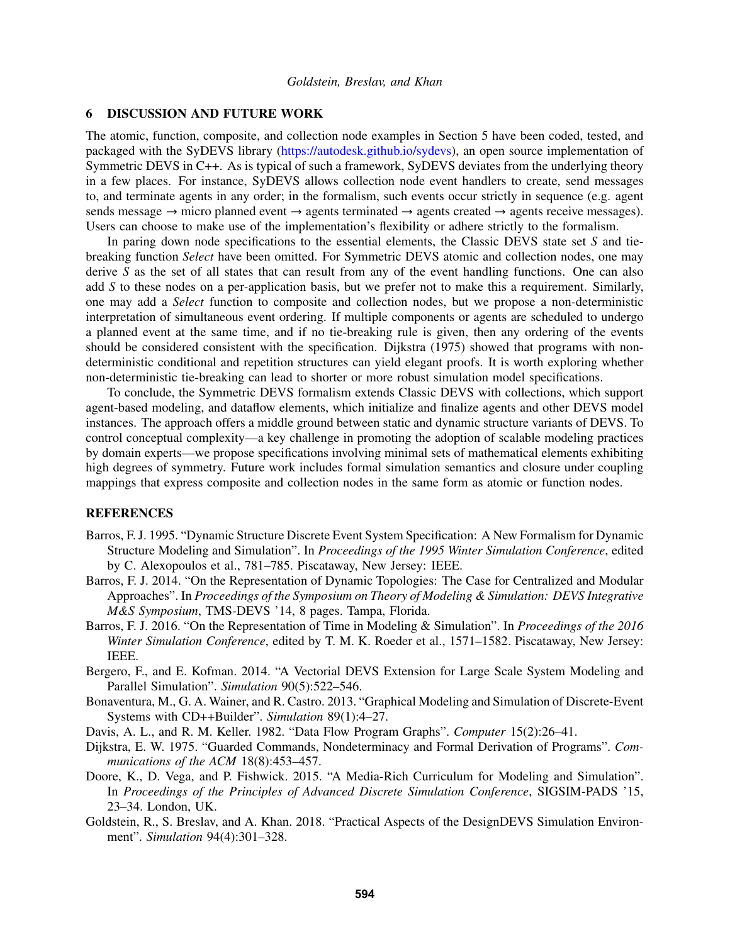### 6 DISCUSSION AND FUTURE WORK

The atomic, function, composite, and collection node examples in Section 5 have been coded, tested, and packaged with the SyDEVS library (https://autodesk.github.io/sydevs), an open source implementation of Symmetric DEVS in C++. As is typical of such a framework, SyDEVS deviates from the underlying theory in a few places. For instance, SyDEVS allows collection node event handlers to create, send messages to, and terminate agents in any order; in the formalism, such events occur strictly in sequence (e.g. agent sends message  $\rightarrow$  micro planned event  $\rightarrow$  agents terminated  $\rightarrow$  agents created  $\rightarrow$  agents receive messages). Users can choose to make use of the implementation's flexibility or adhere strictly to the formalism.

In paring down node specifications to the essential elements, the Classic DEVS state set *S* and tiebreaking function *Select* have been omitted. For Symmetric DEVS atomic and collection nodes, one may derive *S* as the set of all states that can result from any of the event handling functions. One can also add *S* to these nodes on a per-application basis, but we prefer not to make this a requirement. Similarly, one may add a *Select* function to composite and collection nodes, but we propose a non-deterministic interpretation of simultaneous event ordering. If multiple components or agents are scheduled to undergo a planned event at the same time, and if no tie-breaking rule is given, then any ordering of the events should be considered consistent with the specification. Dijkstra (1975) showed that programs with nondeterministic conditional and repetition structures can yield elegant proofs. It is worth exploring whether non-deterministic tie-breaking can lead to shorter or more robust simulation model specifications.

To conclude, the Symmetric DEVS formalism extends Classic DEVS with collections, which support agent-based modeling, and dataflow elements, which initialize and finalize agents and other DEVS model instances. The approach offers a middle ground between static and dynamic structure variants of DEVS. To control conceptual complexity—a key challenge in promoting the adoption of scalable modeling practices by domain experts—we propose specifications involving minimal sets of mathematical elements exhibiting high degrees of symmetry. Future work includes formal simulation semantics and closure under coupling mappings that express composite and collection nodes in the same form as atomic or function nodes.

### **REFERENCES**

- Barros, F. J. 1995. "Dynamic Structure Discrete Event System Specification: A New Formalism for Dynamic Structure Modeling and Simulation". In *Proceedings of the 1995 Winter Simulation Conference*, edited by C. Alexopoulos et al., 781–785. Piscataway, New Jersey: IEEE.
- Barros, F. J. 2014. "On the Representation of Dynamic Topologies: The Case for Centralized and Modular Approaches". In *Proceedings of the Symposium on Theory of Modeling & Simulation: DEVS Integrative M&S Symposium*, TMS-DEVS '14, 8 pages. Tampa, Florida.
- Barros, F. J. 2016. "On the Representation of Time in Modeling & Simulation". In *Proceedings of the 2016 Winter Simulation Conference*, edited by T. M. K. Roeder et al., 1571–1582. Piscataway, New Jersey: IEEE.
- Bergero, F., and E. Kofman. 2014. "A Vectorial DEVS Extension for Large Scale System Modeling and Parallel Simulation". *Simulation* 90(5):522–546.
- Bonaventura, M., G. A. Wainer, and R. Castro. 2013. "Graphical Modeling and Simulation of Discrete-Event Systems with CD++Builder". *Simulation* 89(1):4–27.
- Davis, A. L., and R. M. Keller. 1982. "Data Flow Program Graphs". *Computer* 15(2):26–41.
- Dijkstra, E. W. 1975. "Guarded Commands, Nondeterminacy and Formal Derivation of Programs". *Communications of the ACM* 18(8):453–457.
- Doore, K., D. Vega, and P. Fishwick. 2015. "A Media-Rich Curriculum for Modeling and Simulation". In *Proceedings of the Principles of Advanced Discrete Simulation Conference*, SIGSIM-PADS '15, 23–34. London, UK.
- Goldstein, R., S. Breslav, and A. Khan. 2018. "Practical Aspects of the DesignDEVS Simulation Environment". *Simulation* 94(4):301–328.